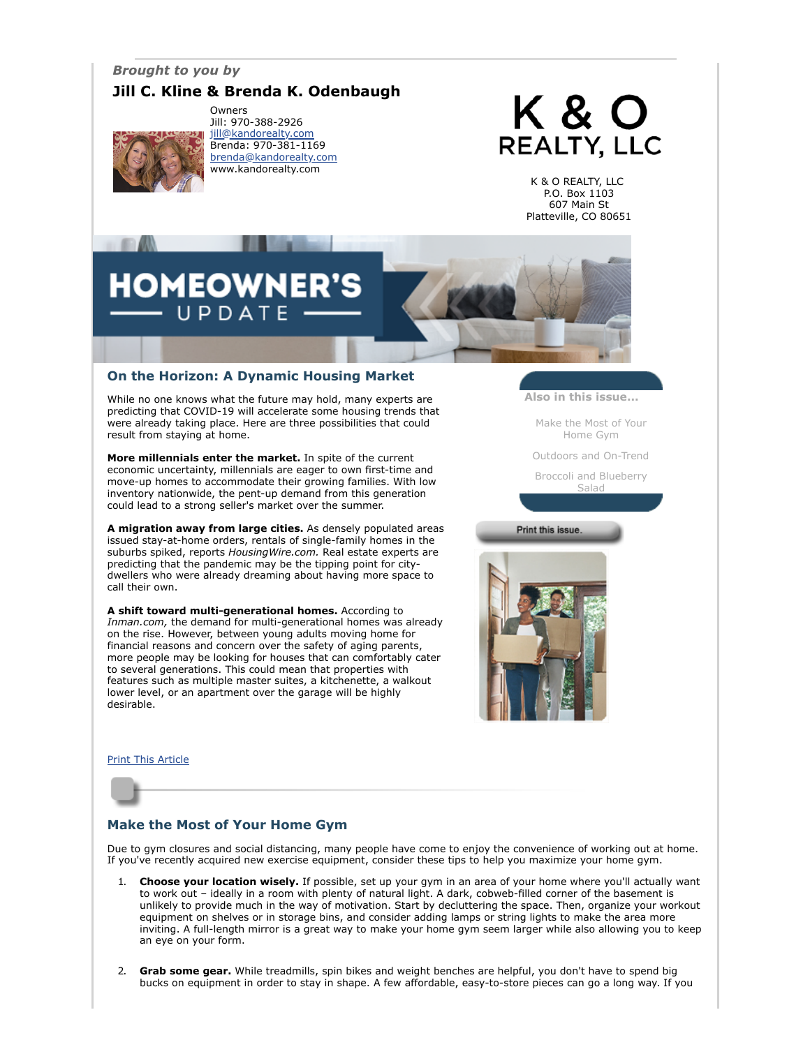## *Brought to you by*

## **Jill C. Kline & Brenda K. Odenbaugh**



Owners Jill: 970-388-2926 [jill@kandorealty.com](mailto:jill@kandorealty.com) Brenda: 970-381-1169 [brenda@kandorealty.com](mailto:brenda@kandorealty.com) www.kandorealty.com

# K & O **REALTY, LLC**

K & O REALTY, LLC P.O. Box 1103 607 Main St Platteville, CO 80651

## **HOMEOWNER'S** UPDATE

## **On the Horizon: A Dynamic Housing Market**

While no one knows what the future may hold, many experts are predicting that COVID-19 will accelerate some housing trends that were already taking place. Here are three possibilities that could result from staying at home.

**More millennials enter the market.** In spite of the current economic uncertainty, millennials are eager to own first-time and move-up homes to accommodate their growing families. With low inventory nationwide, the pent-up demand from this generation could lead to a strong seller's market over the summer.

**A migration away from large cities.** As densely populated areas issued stay-at-home orders, rentals of single-family homes in the suburbs spiked, reports *HousingWire.com.* Real estate experts are predicting that the pandemic may be the tipping point for citydwellers who were already dreaming about having more space to call their own.

**A shift toward multi-generational homes.** According to *Inman.com,* the demand for multi-generational homes was already on the rise. However, between young adults moving home for financial reasons and concern over the safety of aging parents, more people may be looking for houses that can comfortably cater to several generations. This could mean that properties with features such as multiple master suites, a kitchenette, a walkout lower level, or an apartment over the garage will be highly desirable.

**Also in this issue...**

[Make the Most of Your](#page-0-0) Home Gym

[Outdoors and On-Trend](#page-1-0)

[Broccoli and Blueberry](#page-1-1) Salad

Print this issue.



#### **[Print This Article](javascript:print();)**



## <span id="page-0-0"></span>**Make the Most of Your Home Gym**

Due to gym closures and social distancing, many people have come to enjoy the convenience of working out at home. If you've recently acquired new exercise equipment, consider these tips to help you maximize your home gym.

- 1. **Choose your location wisely.** If possible, set up your gym in an area of your home where you'll actually want to work out – ideally in a room with plenty of natural light. A dark, cobweb-filled corner of the basement is unlikely to provide much in the way of motivation. Start by decluttering the space. Then, organize your workout equipment on shelves or in storage bins, and consider adding lamps or string lights to make the area more inviting. A full-length mirror is a great way to make your home gym seem larger while also allowing you to keep an eye on your form.
- 2. **Grab some gear.** While treadmills, spin bikes and weight benches are helpful, you don't have to spend big bucks on equipment in order to stay in shape. A few affordable, easy-to-store pieces can go a long way. If you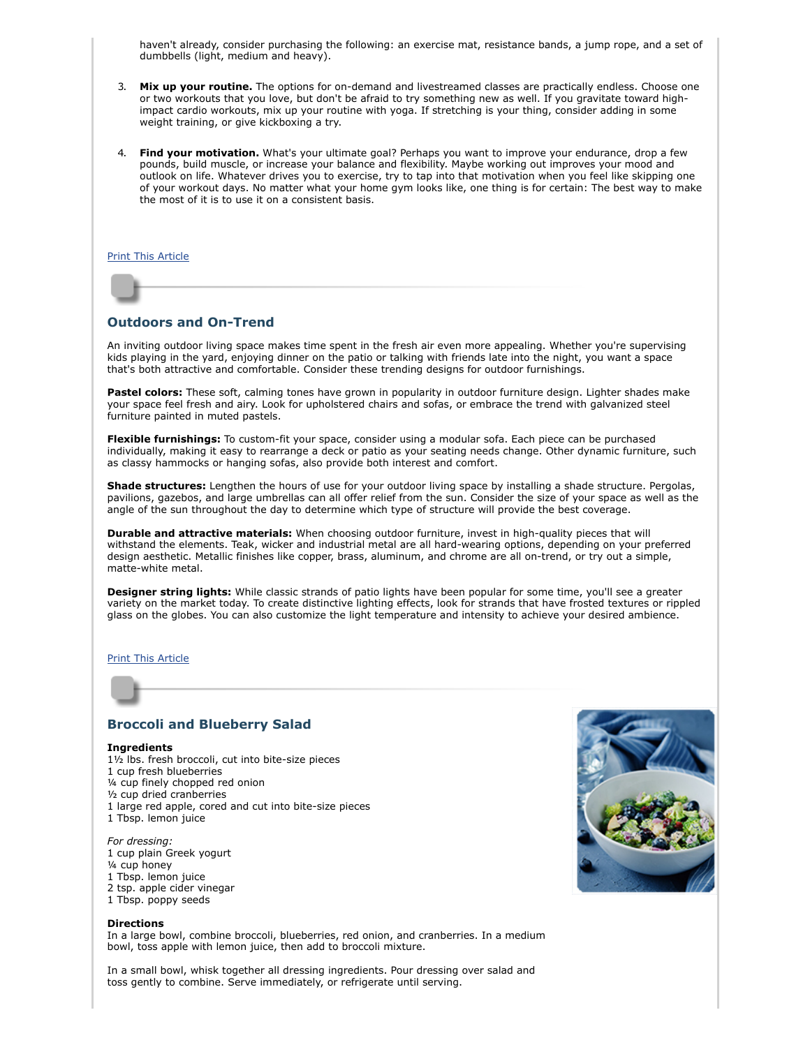haven't already, consider purchasing the following: an exercise mat, resistance bands, a jump rope, and a set of dumbbells (light, medium and heavy).

- 3. **Mix up your routine.** The options for on-demand and livestreamed classes are practically endless. Choose one or two workouts that you love, but don't be afraid to try something new as well. If you gravitate toward highimpact cardio workouts, mix up your routine with yoga. If stretching is your thing, consider adding in some weight training, or give kickboxing a try.
- 4. **Find your motivation.** What's your ultimate goal? Perhaps you want to improve your endurance, drop a few pounds, build muscle, or increase your balance and flexibility. Maybe working out improves your mood and outlook on life. Whatever drives you to exercise, try to tap into that motivation when you feel like skipping one of your workout days. No matter what your home gym looks like, one thing is for certain: The best way to make the most of it is to use it on a consistent basis.

#### [Print This Article](javascript:print();)

## <span id="page-1-0"></span>**Outdoors and On-Trend**

An inviting outdoor living space makes time spent in the fresh air even more appealing. Whether you're supervising kids playing in the yard, enjoying dinner on the patio or talking with friends late into the night, you want a space that's both attractive and comfortable. Consider these trending designs for outdoor furnishings.

**Pastel colors:** These soft, calming tones have grown in popularity in outdoor furniture design. Lighter shades make your space feel fresh and airy. Look for upholstered chairs and sofas, or embrace the trend with galvanized steel furniture painted in muted pastels.

**Flexible furnishings:** To custom-fit your space, consider using a modular sofa. Each piece can be purchased individually, making it easy to rearrange a deck or patio as your seating needs change. Other dynamic furniture, such as classy hammocks or hanging sofas, also provide both interest and comfort.

**Shade structures:** Lengthen the hours of use for your outdoor living space by installing a shade structure. Pergolas, pavilions, gazebos, and large umbrellas can all offer relief from the sun. Consider the size of your space as well as the angle of the sun throughout the day to determine which type of structure will provide the best coverage.

**Durable and attractive materials:** When choosing outdoor furniture, invest in high-quality pieces that will withstand the elements. Teak, wicker and industrial metal are all hard-wearing options, depending on your preferred design aesthetic. Metallic finishes like copper, brass, aluminum, and chrome are all on-trend, or try out a simple, matte-white metal.

**Designer string lights:** While classic strands of patio lights have been popular for some time, you'll see a greater variety on the market today. To create distinctive lighting effects, look for strands that have frosted textures or rippled glass on the globes. You can also customize the light temperature and intensity to achieve your desired ambience.

#### [Print This Article](javascript:print();)

## <span id="page-1-1"></span>**Broccoli and Blueberry Salad**

#### **Ingredients**

1½ lbs. fresh broccoli, cut into bite-size pieces 1 cup fresh blueberries ¼ cup finely chopped red onion ½ cup dried cranberries 1 large red apple, cored and cut into bite-size pieces 1 Tbsp. lemon juice

*For dressing:* 1 cup plain Greek yogurt ¼ cup honey 1 Tbsp. lemon juice 2 tsp. apple cider vinegar



#### **Directions**

In a large bowl, combine broccoli, blueberries, red onion, and cranberries. In a medium bowl, toss apple with lemon juice, then add to broccoli mixture.

In a small bowl, whisk together all dressing ingredients. Pour dressing over salad and toss gently to combine. Serve immediately, or refrigerate until serving.